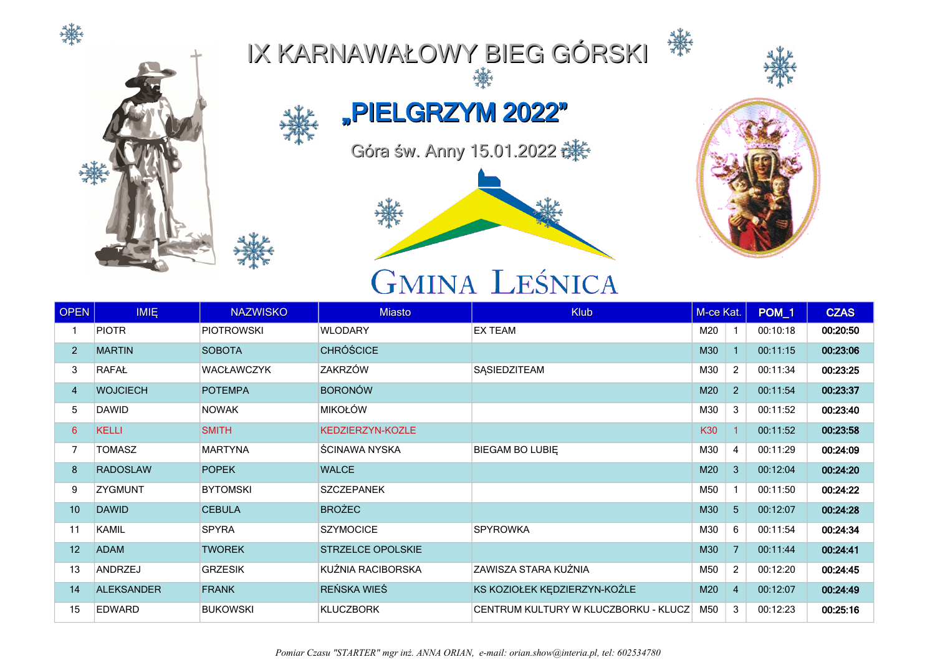



## IX KARNAWAŁOWY BIEG GÓRSKI



灤

"PIELGRZYM 2022"

Góra św. Anny 15.01.2022 **详** 



## **GMINA LEŚNICA**



| <b>OPEN</b>     | <b>IMIE</b>       | <b>NAZWISKO</b>   | <b>Miasto</b>            | <b>Klub</b>                          | M-ce Kat. |                | POM <sub>_1</sub> | <b>CZAS</b> |
|-----------------|-------------------|-------------------|--------------------------|--------------------------------------|-----------|----------------|-------------------|-------------|
|                 | <b>PIOTR</b>      | <b>PIOTROWSKI</b> | <b>WLODARY</b>           | <b>EX TEAM</b>                       | M20       |                | 00:10:18          | 00:20:50    |
| $\overline{2}$  | <b>MARTIN</b>     | <b>SOBOTA</b>     | <b>CHRÓŚCICE</b>         |                                      | M30       |                | 00:11:15          | 00:23:06    |
| 3               | RAFAŁ             | <b>WACŁAWCZYK</b> | ZAKRZÓW                  | SASIEDZITEAM                         | M30       | $\overline{2}$ | 00:11:34          | 00:23:25    |
| 4               | <b>WOJCIECH</b>   | <b>POTEMPA</b>    | <b>BORONÓW</b>           |                                      | M20       | $\overline{2}$ | 00:11:54          | 00:23:37    |
| 5               | <b>DAWID</b>      | <b>NOWAK</b>      | <b>MIKOŁÓW</b>           |                                      | M30       | 3              | 00:11:52          | 00:23:40    |
| $6\overline{6}$ | <b>KELLI</b>      | <b>SMITH</b>      | KEDZIERZYN-KOZLE         |                                      | K30       |                | 00:11:52          | 00:23:58    |
| 7               | <b>TOMASZ</b>     | <b>MARTYNA</b>    | ŚCINAWA NYSKA            | BIEGAM BO LUBIE                      | M30       | $\overline{4}$ | 00:11:29          | 00:24:09    |
| 8               | <b>RADOSLAW</b>   | <b>POPEK</b>      | <b>WALCE</b>             |                                      | M20       | $\mathbf{3}$   | 00:12:04          | 00:24:20    |
| 9               | <b>ZYGMUNT</b>    | <b>BYTOMSKI</b>   | <b>SZCZEPANEK</b>        |                                      | M50       | $\mathbf{1}$   | 00:11:50          | 00:24:22    |
| 10              | <b>DAWID</b>      | <b>CEBULA</b>     | <b>BROŻEC</b>            |                                      | M30       | $5\phantom{.}$ | 00:12:07          | 00:24:28    |
| 11              | <b>KAMIL</b>      | <b>SPYRA</b>      | <b>SZYMOCICE</b>         | <b>SPYROWKA</b>                      | M30       | 6              | 00:11:54          | 00:24:34    |
| 12              | <b>ADAM</b>       | <b>TWOREK</b>     | <b>STRZELCE OPOLSKIE</b> |                                      | M30       | $\overline{7}$ | 00:11:44          | 00:24:41    |
| 13              | <b>ANDRZEJ</b>    | <b>GRZESIK</b>    | KUŹNIA RACIBORSKA        | ZAWISZA STARA KUŹNIA                 | M50       | 2              | 00:12:20          | 00:24:45    |
| 14              | <b>ALEKSANDER</b> | <b>FRANK</b>      | REŃSKA WIEŚ              | KS KOZIOŁEK KĘDZIERZYN-KOŹLE         | M20       | $\overline{4}$ | 00:12:07          | 00:24:49    |
| 15              | <b>EDWARD</b>     | <b>BUKOWSKI</b>   | <b>KLUCZBORK</b>         | CENTRUM KULTURY W KLUCZBORKU - KLUCZ | M50       | 3              | 00:12:23          | 00:25:16    |

*Pomiar Czasu "STARTER" mgr inż. ANNA ORIAN, e-mail: orian.show@interia.pl, tel: 602534780*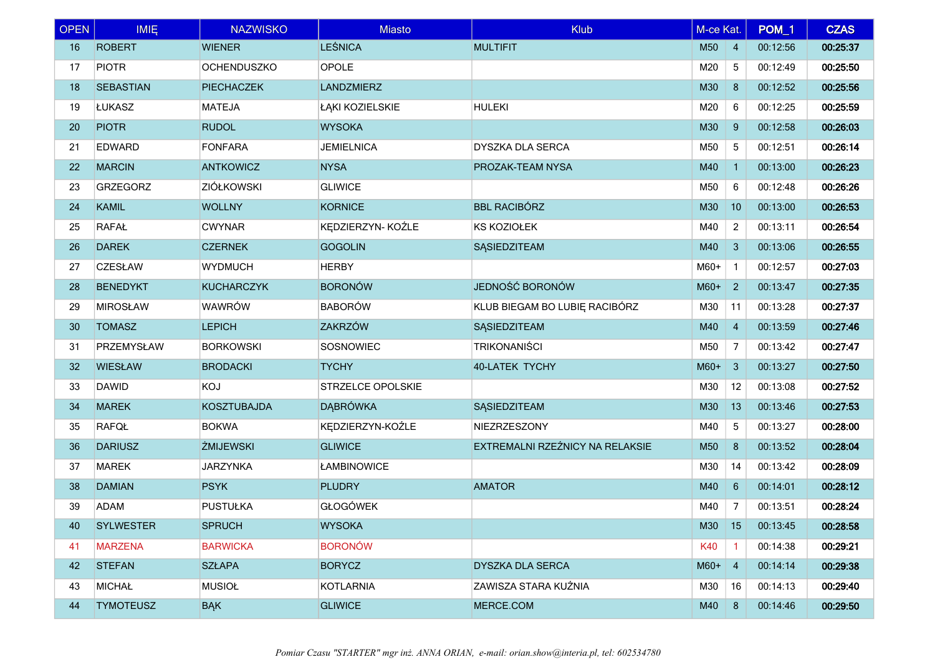| <b>OPEN</b>     | <b>IMIE</b>      | <b>NAZWISKO</b>    | <b>Miasto</b>     | <b>Klub</b>                     | M-ce Kat. |                | POM_1    | <b>CZAS</b> |
|-----------------|------------------|--------------------|-------------------|---------------------------------|-----------|----------------|----------|-------------|
| 16              | <b>ROBERT</b>    | <b>WIENER</b>      | <b>LEŚNICA</b>    | <b>MULTIFIT</b>                 | M50       | $\overline{4}$ | 00:12:56 | 00:25:37    |
| 17              | <b>PIOTR</b>     | <b>OCHENDUSZKO</b> | OPOLE             |                                 | M20       | 5              | 00:12:49 | 00:25:50    |
| 18              | <b>SEBASTIAN</b> | <b>PIECHACZEK</b>  | <b>LANDZMIERZ</b> |                                 | M30       | 8              | 00:12:52 | 00:25:56    |
| 19              | ŁUKASZ           | <b>MATEJA</b>      | ŁĄKI KOZIELSKIE   | <b>HULEKI</b>                   | M20       | 6              | 00:12:25 | 00:25:59    |
| 20              | <b>PIOTR</b>     | <b>RUDOL</b>       | <b>WYSOKA</b>     |                                 | M30       | 9              | 00:12:58 | 00:26:03    |
| 21              | <b>EDWARD</b>    | <b>FONFARA</b>     | <b>JEMIELNICA</b> | <b>DYSZKA DLA SERCA</b>         | M50       | 5              | 00:12:51 | 00:26:14    |
| 22              | <b>MARCIN</b>    | <b>ANTKOWICZ</b>   | <b>NYSA</b>       | PROZAK-TEAM NYSA                | M40       | $\mathbf{1}$   | 00:13:00 | 00:26:23    |
| 23              | <b>GRZEGORZ</b>  | <b>ZIÓŁKOWSKI</b>  | <b>GLIWICE</b>    |                                 | M50       | 6              | 00:12:48 | 00:26:26    |
| 24              | <b>KAMIL</b>     | <b>WOLLNY</b>      | <b>KORNICE</b>    | <b>BBL RACIBÓRZ</b>             | M30       | 10             | 00:13:00 | 00:26:53    |
| 25              | <b>RAFAŁ</b>     | <b>CWYNAR</b>      | KĘDZIERZYN- KOŹLE | <b>KS KOZIOŁEK</b>              | M40       | $\overline{2}$ | 00:13:11 | 00:26:54    |
| 26              | <b>DAREK</b>     | <b>CZERNEK</b>     | <b>GOGOLIN</b>    | <b>SASIEDZITEAM</b>             | M40       | 3              | 00:13:06 | 00:26:55    |
| 27              | <b>CZESŁAW</b>   | <b>WYDMUCH</b>     | <b>HERBY</b>      |                                 | M60+      | $\overline{1}$ | 00:12:57 | 00:27:03    |
| 28              | <b>BENEDYKT</b>  | <b>KUCHARCZYK</b>  | <b>BORONÓW</b>    | JEDNOŚĆ BORONÓW                 | $M60+$    | $\overline{2}$ | 00:13:47 | 00:27:35    |
| 29              | <b>MIROSŁAW</b>  | WAWRÓW             | <b>BABORÓW</b>    | KLUB BIEGAM BO LUBIE RACIBÓRZ   | M30       | 11             | 00:13:28 | 00:27:37    |
| 30 <sup>°</sup> | <b>TOMASZ</b>    | <b>LEPICH</b>      | <b>ZAKRZÓW</b>    | SĄSIEDZITEAM                    | M40       | $\overline{4}$ | 00:13:59 | 00:27:46    |
| 31              | PRZEMYSŁAW       | <b>BORKOWSKI</b>   | SOSNOWIEC         | <b>TRIKONANIŚCI</b>             | M50       | 7              | 00:13:42 | 00:27:47    |
| 32              | <b>WIESŁAW</b>   | <b>BRODACKI</b>    | <b>TYCHY</b>      | <b>40-LATEK TYCHY</b>           | $M60+$    | $\mathbf{3}$   | 00:13:27 | 00:27:50    |
| 33              | <b>DAWID</b>     | KOJ                | STRZELCE OPOLSKIE |                                 | M30       | 12             | 00:13:08 | 00:27:52    |
| 34              | <b>MAREK</b>     | <b>KOSZTUBAJDA</b> | <b>DABRÓWKA</b>   | SĄSIEDZITEAM                    | M30       | 13             | 00:13:46 | 00:27:53    |
| 35              | <b>RAFQŁ</b>     | <b>BOKWA</b>       | KĘDZIERZYN-KOŹLE  | NIEZRZESZONY                    | M40       | 5              | 00:13:27 | 00:28:00    |
| 36              | <b>DARIUSZ</b>   | <b>ŻMIJEWSKI</b>   | <b>GLIWICE</b>    | EXTREMALNI RZEŹNICY NA RELAKSIE | M50       | 8              | 00:13:52 | 00:28:04    |
| 37              | <b>MAREK</b>     | <b>JARZYNKA</b>    | ŁAMBINOWICE       |                                 | M30       | 14             | 00:13:42 | 00:28:09    |
| 38              | <b>DAMIAN</b>    | <b>PSYK</b>        | <b>PLUDRY</b>     | <b>AMATOR</b>                   | M40       | $6\phantom{1}$ | 00:14:01 | 00:28:12    |
| 39              | <b>ADAM</b>      | <b>PUSTUŁKA</b>    | <b>GŁOGÓWEK</b>   |                                 | M40       | 7              | 00:13:51 | 00:28:24    |
| 40              | <b>SYLWESTER</b> | <b>SPRUCH</b>      | <b>WYSOKA</b>     |                                 | M30       | 15             | 00:13:45 | 00:28:58    |
| 41              | <b>MARZENA</b>   | <b>BARWICKA</b>    | <b>BORONÓW</b>    |                                 | K40       | $\overline{1}$ | 00:14:38 | 00:29:21    |
| 42              | <b>STEFAN</b>    | <b>SZŁAPA</b>      | <b>BORYCZ</b>     | <b>DYSZKA DLA SERCA</b>         | $M60+$ 4  |                | 00:14:14 | 00:29:38    |
| 43              | <b>MICHAŁ</b>    | <b>MUSIOŁ</b>      | <b>KOTLARNIA</b>  | ZAWISZA STARA KUŹNIA            | M30       | 16             | 00:14:13 | 00:29:40    |
| 44              | <b>TYMOTEUSZ</b> | <b>BĄK</b>         | <b>GLIWICE</b>    | MERCE.COM                       | M40       | 8              | 00:14:46 | 00:29:50    |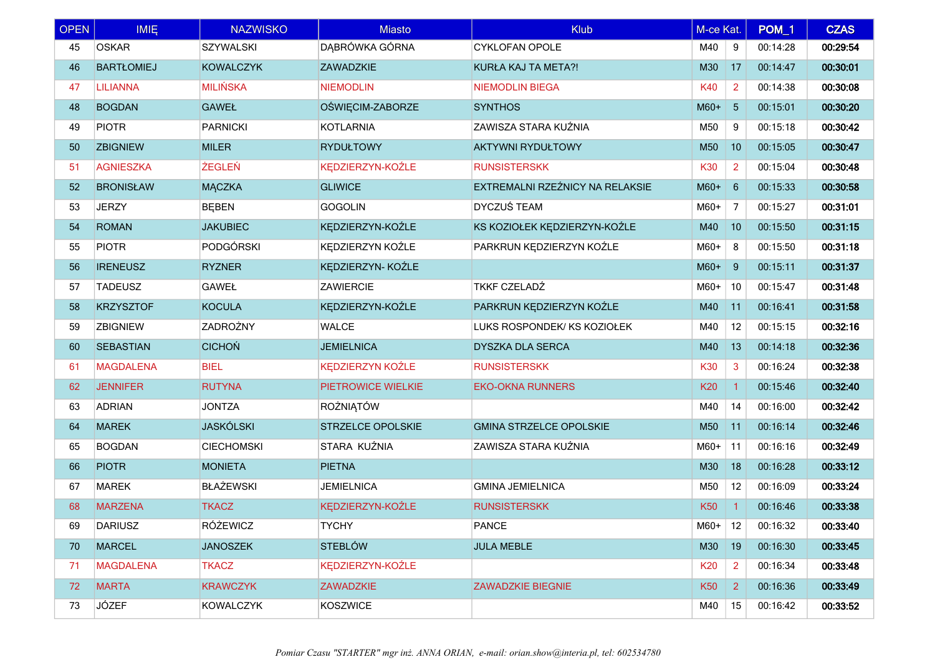| <b>OPEN</b> | <b>IMIE</b>       | <b>NAZWISKO</b>   | <b>Miasto</b>            | <b>Klub</b>                     | M-ce Kat.       |                 | POM_1    | <b>CZAS</b> |
|-------------|-------------------|-------------------|--------------------------|---------------------------------|-----------------|-----------------|----------|-------------|
| 45          | <b>OSKAR</b>      | <b>SZYWALSKI</b>  | DĄBRÓWKA GÓRNA           | <b>CYKLOFAN OPOLE</b>           | M40             | 9               | 00:14:28 | 00:29:54    |
| 46          | <b>BARTŁOMIEJ</b> | <b>KOWALCZYK</b>  | <b>ZAWADZKIE</b>         | KURŁA KAJ TA META?!             | M30             | 17              | 00:14:47 | 00:30:01    |
| 47          | <b>LILIANNA</b>   | <b>MILIŃSKA</b>   | <b>NIEMODLIN</b>         | <b>NIEMODLIN BIEGA</b>          | K40             | 2               | 00:14:38 | 00:30:08    |
| 48          | <b>BOGDAN</b>     | <b>GAWEŁ</b>      | OŚWIĘCIM-ZABORZE         | <b>SYNTHOS</b>                  | $M60+$          | $5\phantom{.0}$ | 00:15:01 | 00:30:20    |
| 49          | <b>PIOTR</b>      | <b>PARNICKI</b>   | <b>KOTLARNIA</b>         | ZAWISZA STARA KUŹNIA            | M50             | 9               | 00:15:18 | 00:30:42    |
| 50          | <b>ZBIGNIEW</b>   | <b>MILER</b>      | <b>RYDUŁTOWY</b>         | <b>AKTYWNI RYDUŁTOWY</b>        | M <sub>50</sub> | 10              | 00:15:05 | 00:30:47    |
| 51          | <b>AGNIESZKA</b>  | <b>ŻEGLEŃ</b>     | KEDZIERZYN-KOŹLE         | <b>RUNSISTERSKK</b>             | K30             | 2               | 00:15:04 | 00:30:48    |
| 52          | <b>BRONISŁAW</b>  | <b>MĄCZKA</b>     | <b>GLIWICE</b>           | EXTREMALNI RZEŹNICY NA RELAKSIE | $M60+$          | 6               | 00:15:33 | 00:30:58    |
| 53          | <b>JERZY</b>      | <b>BEBEN</b>      | <b>GOGOLIN</b>           | <b>DYCZUŚ TEAM</b>              | $M60+$          | 7               | 00:15:27 | 00:31:01    |
| 54          | <b>ROMAN</b>      | <b>JAKUBIEC</b>   | KEDZIERZYN-KOŹLE         | KS KOZIOŁEK KĘDZIERZYN-KOŹLE    | M40             | 10              | 00:15:50 | 00:31:15    |
| 55          | <b>PIOTR</b>      | PODGÓRSKI         | KEDZIERZYN KOŹLE         | PARKRUN KEDZIERZYN KOŹLE        | $M60+$          | -8              | 00:15:50 | 00:31:18    |
| 56          | <b>IRENEUSZ</b>   | <b>RYZNER</b>     | KEDZIERZYN-KOŹLE         |                                 | $M60+$          | 9               | 00:15:11 | 00:31:37    |
| 57          | <b>TADEUSZ</b>    | <b>GAWEŁ</b>      | <b>ZAWIERCIE</b>         | <b>TKKF CZELADŹ</b>             | M60+            | 10              | 00:15:47 | 00:31:48    |
| 58          | <b>KRZYSZTOF</b>  | <b>KOCULA</b>     | KĘDZIERZYN-KOŹLE         | PARKRUN KĘDZIERZYN KOŹLE        | M40             | 11              | 00:16:41 | 00:31:58    |
| 59          | <b>ZBIGNIEW</b>   | <b>ZADROŻNY</b>   | <b>WALCE</b>             | LUKS ROSPONDEK/ KS KOZIOŁEK     | M40             | 12              | 00:15:15 | 00:32:16    |
| 60          | <b>SEBASTIAN</b>  | <b>CICHON</b>     | <b>JEMIELNICA</b>        | DYSZKA DLA SERCA                | M40             | 13              | 00:14:18 | 00:32:36    |
| 61          | <b>MAGDALENA</b>  | <b>BIEL</b>       | <b>KEDZIERZYN KOŹLE</b>  | <b>RUNSISTERSKK</b>             | K30             | 3               | 00:16:24 | 00:32:38    |
| 62          | <b>JENNIFER</b>   | <b>RUTYNA</b>     | PIETROWICE WIELKIE       | <b>EKO-OKNA RUNNERS</b>         | K20             | $\overline{1}$  | 00:15:46 | 00:32:40    |
| 63          | <b>ADRIAN</b>     | <b>JONTZA</b>     | <b>ROŻNIĄTÓW</b>         |                                 | M40             | 14              | 00:16:00 | 00:32:42    |
| 64          | <b>MAREK</b>      | <b>JASKÓLSKI</b>  | <b>STRZELCE OPOLSKIE</b> | <b>GMINA STRZELCE OPOLSKIE</b>  | M50             | 11              | 00:16:14 | 00:32:46    |
| 65          | <b>BOGDAN</b>     | <b>CIECHOMSKI</b> | STARA KUŹNIA             | ZAWISZA STARA KUŹNIA            | $M60+$          | 11              | 00:16:16 | 00:32:49    |
| 66          | <b>PIOTR</b>      | <b>MONIETA</b>    | <b>PIETNA</b>            |                                 | M30             | 18              | 00:16:28 | 00:33:12    |
| 67          | <b>MAREK</b>      | <b>BŁAŻEWSKI</b>  | <b>JEMIELNICA</b>        | <b>GMINA JEMIELNICA</b>         | M50             | 12              | 00:16:09 | 00:33:24    |
| 68          | <b>MARZENA</b>    | <b>TKACZ</b>      | KEDZIERZYN-KOŹLE         | <b>RUNSISTERSKK</b>             | <b>K50</b>      | $\mathbf{1}$    | 00:16:46 | 00:33:38    |
| 69          | <b>DARIUSZ</b>    | RÓŻEWICZ          | <b>TYCHY</b>             | <b>PANCE</b>                    | $M60+$ 12       |                 | 00:16:32 | 00:33:40    |
| 70          | <b>MARCEL</b>     | <b>JANOSZEK</b>   | <b>STEBLÓW</b>           | <b>JULA MEBLE</b>               | M30             | 19              | 00:16:30 | 00:33:45    |
| 71          | <b>MAGDALENA</b>  | <b>TKACZ</b>      | KEDZIERZYN-KOŹLE         |                                 | K20             | 2               | 00:16:34 | 00:33:48    |
| 72          | <b>MARTA</b>      | <b>KRAWCZYK</b>   | <b>ZAWADZKIE</b>         | <b>ZAWADZKIE BIEGNIE</b>        | <b>K50</b>      | $\overline{2}$  | 00:16:36 | 00:33:49    |
| 73          | <b>JÓZEF</b>      | <b>KOWALCZYK</b>  | <b>KOSZWICE</b>          |                                 | M40             | 15              | 00:16:42 | 00:33:52    |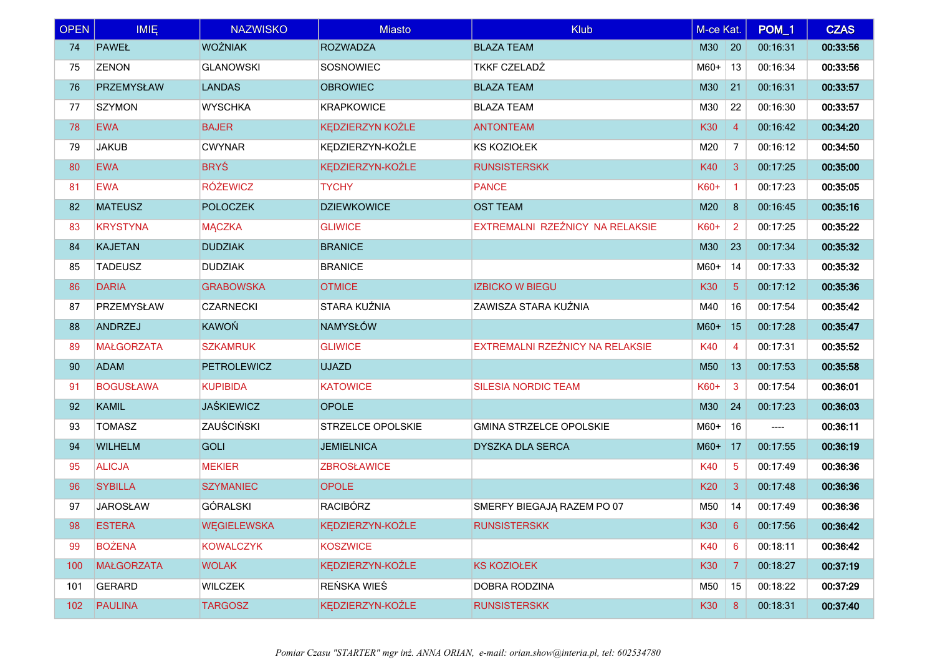| <b>OPEN</b> | <b>IMIE</b>       | <b>NAZWISKO</b>    | <b>Miasto</b>           | <b>Klub</b>                     | M-ce Kat.       |                | POM_1    | <b>CZAS</b> |
|-------------|-------------------|--------------------|-------------------------|---------------------------------|-----------------|----------------|----------|-------------|
| 74          | <b>PAWEŁ</b>      | <b>WOŹNIAK</b>     | <b>ROZWADZA</b>         | <b>BLAZA TEAM</b>               | M30             | $\vert$ 20     | 00:16:31 | 00:33:56    |
| 75          | <b>ZENON</b>      | <b>GLANOWSKI</b>   | SOSNOWIEC               | <b>TKKF CZELADŹ</b>             | $M60+$          | 13             | 00:16:34 | 00:33:56    |
| 76          | <b>PRZEMYSŁAW</b> | <b>LANDAS</b>      | <b>OBROWIEC</b>         | <b>BLAZA TEAM</b>               | M30             | 21             | 00:16:31 | 00:33:57    |
| 77          | <b>SZYMON</b>     | <b>WYSCHKA</b>     | <b>KRAPKOWICE</b>       | <b>BLAZA TEAM</b>               | M30             | 22             | 00:16:30 | 00:33:57    |
| 78          | <b>EWA</b>        | <b>BAJER</b>       | <b>KEDZIERZYN KOŹLE</b> | <b>ANTONTEAM</b>                | K30             | $\overline{4}$ | 00:16:42 | 00:34:20    |
| 79          | <b>JAKUB</b>      | <b>CWYNAR</b>      | KEDZIERZYN-KOŹLE        | KS KOZIOŁEK                     | M20             | 7              | 00:16:12 | 00:34:50    |
| 80          | <b>EWA</b>        | <b>BRYŚ</b>        | KEDZIERZYN-KOŹLE        | <b>RUNSISTERSKK</b>             | K40             | 3              | 00:17:25 | 00:35:00    |
| 81          | <b>EWA</b>        | <b>RÓŻEWICZ</b>    | <b>TYCHY</b>            | <b>PANCE</b>                    | K60+            | $\vert$ 1      | 00:17:23 | 00:35:05    |
| 82          | <b>MATEUSZ</b>    | <b>POLOCZEK</b>    | <b>DZIEWKOWICE</b>      | <b>OST TEAM</b>                 | M20             | 8              | 00:16:45 | 00:35:16    |
| 83          | <b>KRYSTYNA</b>   | <b>MĄCZKA</b>      | <b>GLIWICE</b>          | EXTREMALNI RZEŹNICY NA RELAKSIE | K60+            | $\overline{2}$ | 00:17:25 | 00:35:22    |
| 84          | <b>KAJETAN</b>    | <b>DUDZIAK</b>     | <b>BRANICE</b>          |                                 | M30             | 23             | 00:17:34 | 00:35:32    |
| 85          | <b>TADEUSZ</b>    | <b>DUDZIAK</b>     | <b>BRANICE</b>          |                                 | $M60+$          | 14             | 00:17:33 | 00:35:32    |
| 86          | <b>DARIA</b>      | <b>GRABOWSKA</b>   | <b>OTMICE</b>           | <b>IZBICKO W BIEGU</b>          | K30             | $5^{\circ}$    | 00:17:12 | 00:35:36    |
| 87          | PRZEMYSŁAW        | <b>CZARNECKI</b>   | STARA KUŹNIA            | ZAWISZA STARA KUŹNIA            | M40             | 16             | 00:17:54 | 00:35:42    |
| 88          | <b>ANDRZEJ</b>    | <b>KAWOŃ</b>       | <b>NAMYSŁÓW</b>         |                                 | $M60+$          | 15             | 00:17:28 | 00:35:47    |
| 89          | <b>MAŁGORZATA</b> | <b>SZKAMRUK</b>    | <b>GLIWICE</b>          | EXTREMALNI RZEŹNICY NA RELAKSIE | K40             | 4              | 00:17:31 | 00:35:52    |
| 90          | <b>ADAM</b>       | <b>PETROLEWICZ</b> | <b>UJAZD</b>            |                                 | M50             | 13             | 00:17:53 | 00:35:58    |
| 91          | <b>BOGUSŁAWA</b>  | <b>KUPIBIDA</b>    | <b>KATOWICE</b>         | SILESIA NORDIC TEAM             | K60+            | 3              | 00:17:54 | 00:36:01    |
| 92          | <b>KAMIL</b>      | <b>JAŚKIEWICZ</b>  | <b>OPOLE</b>            |                                 | M30             | 24             | 00:17:23 | 00:36:03    |
| 93          | <b>TOMASZ</b>     | ZAUŚCIŃSKI         | STRZELCE OPOLSKIE       | <b>GMINA STRZELCE OPOLSKIE</b>  | $M60+$          | 16             | ----     | 00:36:11    |
| 94          | <b>WILHELM</b>    | <b>GOLI</b>        | <b>JEMIELNICA</b>       | <b>DYSZKA DLA SERCA</b>         | $M60+$ 17       |                | 00:17:55 | 00:36:19    |
| 95          | <b>ALICJA</b>     | <b>MEKIER</b>      | <b>ZBROSŁAWICE</b>      |                                 | K40             | 5              | 00:17:49 | 00:36:36    |
| 96          | <b>SYBILLA</b>    | <b>SZYMANIEC</b>   | <b>OPOLE</b>            |                                 | K20             | 3              | 00:17:48 | 00:36:36    |
| 97          | <b>JAROSŁAW</b>   | <b>GÓRALSKI</b>    | <b>RACIBÓRZ</b>         | SMERFY BIEGAJĄ RAZEM PO 07      | M50             | 14             | 00:17:49 | 00:36:36    |
| 98          | <b>ESTERA</b>     | <b>WEGIELEWSKA</b> | KEDZIERZYN-KOŹLE        | <b>RUNSISTERSKK</b>             | K30             | 6              | 00:17:56 | 00:36:42    |
| 99          | <b>BOŻENA</b>     | <b>KOWALCZYK</b>   | <b>KOSZWICE</b>         |                                 | K40             | 6              | 00:18:11 | 00:36:42    |
| 100         | <b>MAŁGORZATA</b> | <b>WOLAK</b>       | KEDZIERZYN-KOŹLE        | <b>KS KOZIOŁEK</b>              | K <sub>30</sub> | 7              | 00:18:27 | 00:37:19    |
| 101         | <b>GERARD</b>     | <b>WILCZEK</b>     | REŃSKA WIEŚ             | DOBRA RODZINA                   | M50             | 15             | 00:18:22 | 00:37:29    |
| 102         | <b>PAULINA</b>    | <b>TARGOSZ</b>     | KEDZIERZYN-KOŹLE        | <b>RUNSISTERSKK</b>             | K30             | 8              | 00:18:31 | 00:37:40    |